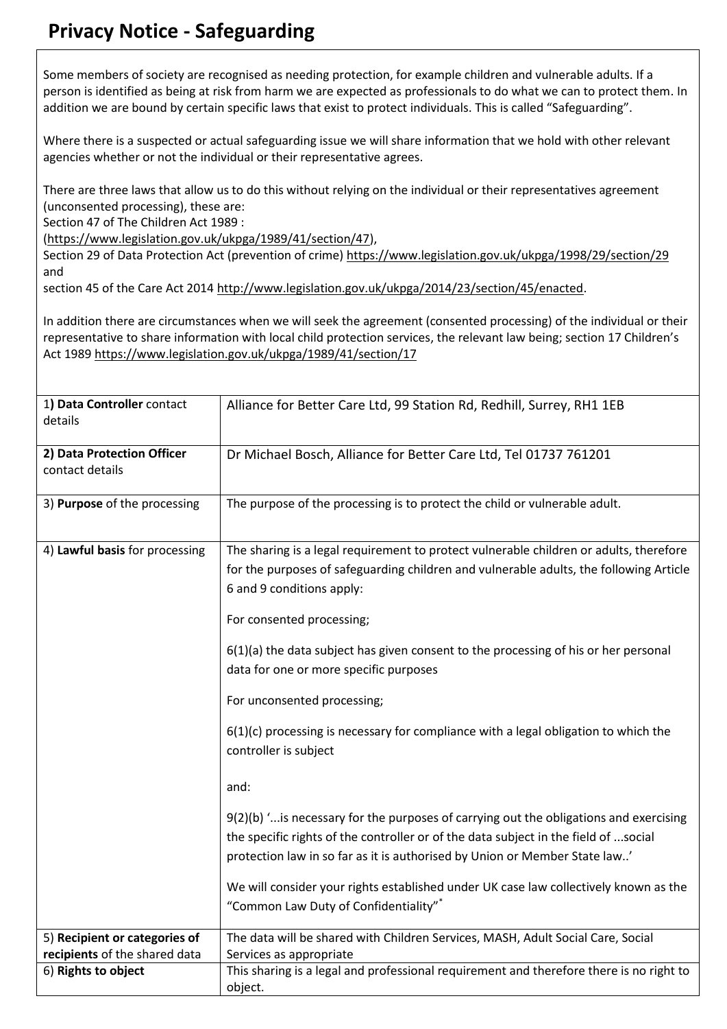## **Privacy Notice - Safeguarding**

Some members of society are recognised as needing protection, for example children and vulnerable adults. If a person is identified as being at risk from harm we are expected as professionals to do what we can to protect them. In addition we are bound by certain specific laws that exist to protect individuals. This is called "Safeguarding".

Where there is a suspected or actual safeguarding issue we will share information that we hold with other relevant agencies whether or not the individual or their representative agrees.

There are three laws that allow us to do this without relying on the individual or their representatives agreement (unconsented processing), these are:

Section 47 of The Children Act 1989 :

[\(https://www.legislation.gov.uk/ukpga/1989/41/section/47\)](https://www.legislation.gov.uk/ukpga/1989/41/section/47),

Section 29 of Data Protection Act (prevention of crime)<https://www.legislation.gov.uk/ukpga/1998/29/section/29> and

section 45 of the Care Act 2014 [http://www.legislation.gov.uk/ukpga/2014/23/section/45/enacted.](http://www.legislation.gov.uk/ukpga/2014/23/section/45/enacted)

In addition there are circumstances when we will seek the agreement (consented processing) of the individual or their representative to share information with local child protection services, the relevant law being; section 17 Children's Act 1989<https://www.legislation.gov.uk/ukpga/1989/41/section/17>

| 1) Data Controller contact<br>details                          | Alliance for Better Care Ltd, 99 Station Rd, Redhill, Surrey, RH1 1EB                                                                                                                                                                                                                                                                                                                                                                                                                                                                                                                                                                                                                                                                                                                                                                                                                         |
|----------------------------------------------------------------|-----------------------------------------------------------------------------------------------------------------------------------------------------------------------------------------------------------------------------------------------------------------------------------------------------------------------------------------------------------------------------------------------------------------------------------------------------------------------------------------------------------------------------------------------------------------------------------------------------------------------------------------------------------------------------------------------------------------------------------------------------------------------------------------------------------------------------------------------------------------------------------------------|
| 2) Data Protection Officer<br>contact details                  | Dr Michael Bosch, Alliance for Better Care Ltd, Tel 01737 761201                                                                                                                                                                                                                                                                                                                                                                                                                                                                                                                                                                                                                                                                                                                                                                                                                              |
| 3) Purpose of the processing                                   | The purpose of the processing is to protect the child or vulnerable adult.                                                                                                                                                                                                                                                                                                                                                                                                                                                                                                                                                                                                                                                                                                                                                                                                                    |
| 4) Lawful basis for processing                                 | The sharing is a legal requirement to protect vulnerable children or adults, therefore<br>for the purposes of safeguarding children and vulnerable adults, the following Article<br>6 and 9 conditions apply:<br>For consented processing;<br>6(1)(a) the data subject has given consent to the processing of his or her personal<br>data for one or more specific purposes<br>For unconsented processing;<br>$6(1)(c)$ processing is necessary for compliance with a legal obligation to which the<br>controller is subject<br>and:<br>$9(2)(b)$ " is necessary for the purposes of carrying out the obligations and exercising<br>the specific rights of the controller or of the data subject in the field of social<br>protection law in so far as it is authorised by Union or Member State law'<br>We will consider your rights established under UK case law collectively known as the |
|                                                                | "Common Law Duty of Confidentiality"*                                                                                                                                                                                                                                                                                                                                                                                                                                                                                                                                                                                                                                                                                                                                                                                                                                                         |
| 5) Recipient or categories of<br>recipients of the shared data | The data will be shared with Children Services, MASH, Adult Social Care, Social<br>Services as appropriate                                                                                                                                                                                                                                                                                                                                                                                                                                                                                                                                                                                                                                                                                                                                                                                    |
| 6) Rights to object                                            | This sharing is a legal and professional requirement and therefore there is no right to<br>object.                                                                                                                                                                                                                                                                                                                                                                                                                                                                                                                                                                                                                                                                                                                                                                                            |